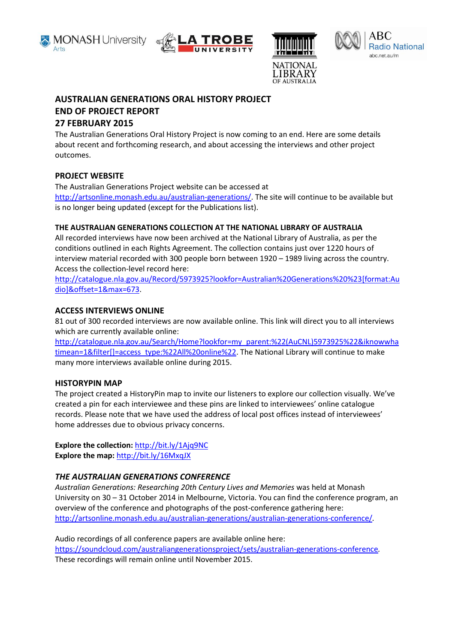





**AUSTRALIA** 



# **AUSTRALIAN GENERATIONS ORAL HISTORY PROJECT END OF PROJECT REPORT**

# **27 FEBRUARY 2015**

The Australian Generations Oral History Project is now coming to an end. Here are some details about recent and forthcoming research, and about accessing the interviews and other project outcomes.

# **PROJECT WEBSITE**

The Australian Generations Project website can be accessed at [http://artsonline.monash.edu.au/australian-generations/.](http://artsonline.monash.edu.au/australian-generations/) The site will continue to be available but is no longer being updated (except for the Publications list).

## **THE AUSTRALIAN GENERATIONS COLLECTION AT THE NATIONAL LIBRARY OF AUSTRALIA**

All recorded interviews have now been archived at the National Library of Australia, as per the conditions outlined in each Rights Agreement. The collection contains just over 1220 hours of interview material recorded with 300 people born between 1920 – 1989 living across the country. Access the collection-level record here:

[http://catalogue.nla.gov.au/Record/5973925?lookfor=Australian%20Generations%20%23\[format:Au](http://catalogue.nla.gov.au/Record/5973925?lookfor=Australian%20Generations%20%23%5bformat:Audio%5d&offset=1&max=673) [dio\]&offset=1&max=673.](http://catalogue.nla.gov.au/Record/5973925?lookfor=Australian%20Generations%20%23%5bformat:Audio%5d&offset=1&max=673)

## **ACCESS INTERVIEWS ONLINE**

81 out of 300 recorded interviews are now available online. This link will direct you to all interviews which are currently available online:

[http://catalogue.nla.gov.au/Search/Home?lookfor=my\\_parent:%22\(AuCNL\)5973925%22&iknowwha](http://catalogue.nla.gov.au/Search/Home?lookfor=my_parent:%22(AuCNL)5973925%22&iknowwhatimean=1&filter%5b%5d=access_type:%22All%20online%22) [timean=1&filter\[\]=access\\_type:%22All%20online%22.](http://catalogue.nla.gov.au/Search/Home?lookfor=my_parent:%22(AuCNL)5973925%22&iknowwhatimean=1&filter%5b%5d=access_type:%22All%20online%22) The National Library will continue to make many more interviews available online during 2015.

## **HISTORYPIN MAP**

The project created a HistoryPin map to invite our listeners to explore our collection visually. We've created a pin for each interviewee and these pins are linked to interviewees' online catalogue records. Please note that we have used the address of local post offices instead of interviewees' home addresses due to obvious privacy concerns.

**Explore the collection:** <http://bit.ly/1Ajq9NC> **Explore the map:** <http://bit.ly/16MxqJX>

## *THE AUSTRALIAN GENERATIONS CONFERENCE*

*Australian Generations: Researching 20th Century Lives and Memories* was held at Monash University on 30 – 31 October 2014 in Melbourne, Victoria. You can find the conference program, an overview of the conference and photographs of the post-conference gathering here: <http://artsonline.monash.edu.au/australian-generations/australian-generations-conference/>*.* 

Audio recordings of all conference papers are available online here: <https://soundcloud.com/australiangenerationsproject/sets/australian-generations-conference>*.*  These recordings will remain online until November 2015.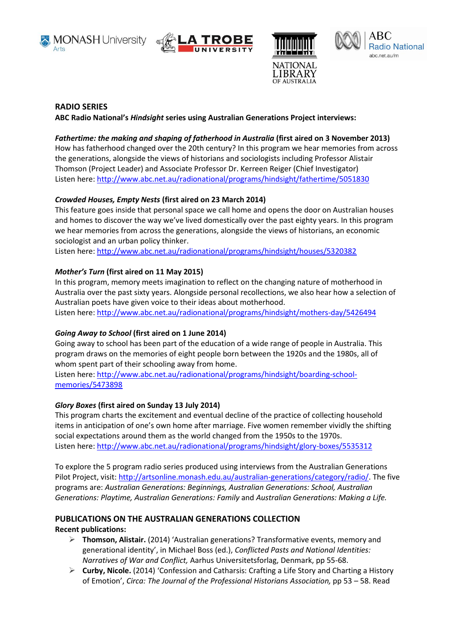







#### **RADIO SERIES**

**ABC Radio National's** *Hindsight* **series using Australian Generations Project interviews:**

## *Fathertime: the making and shaping of fatherhood in Australia* **(first aired on 3 November 2013)**

How has fatherhood changed over the 20th century? In this program we hear memories from across the generations, alongside the views of historians and sociologists including Professor Alistair Thomson (Project Leader) and Associate Professor Dr. Kerreen Reiger (Chief Investigator) Listen here:<http://www.abc.net.au/radionational/programs/hindsight/fathertime/5051830>

## *Crowded Houses, Empty Nests* **(first aired on 23 March 2014)**

This feature goes inside that personal space we call home and opens the door on Australian houses and homes to discover the way we've lived domestically over the past eighty years. In this program we hear memories from across the generations, alongside the views of historians, an economic sociologist and an urban policy thinker.

Listen here:<http://www.abc.net.au/radionational/programs/hindsight/houses/5320382>

## *Mother's Turn* **(first aired on 11 May 2015)**

In this program, memory meets imagination to reflect on the changing nature of motherhood in Australia over the past sixty years. Alongside personal recollections, we also hear how a selection of Australian poets have given voice to their ideas about motherhood.

Listen here:<http://www.abc.net.au/radionational/programs/hindsight/mothers-day/5426494>

## *Going Away to School* **(first aired on 1 June 2014)**

Going away to school has been part of the education of a wide range of people in Australia. This program draws on the memories of eight people born between the 1920s and the 1980s, all of whom spent part of their schooling away from home.

Listen here: [http://www.abc.net.au/radionational/programs/hindsight/boarding-school](http://www.abc.net.au/radionational/programs/hindsight/boarding-school-memories/5473898)[memories/5473898](http://www.abc.net.au/radionational/programs/hindsight/boarding-school-memories/5473898)

## *Glory Boxes* **(first aired on Sunday 13 July 2014)**

This program charts the excitement and eventual decline of the practice of collecting household items in anticipation of one's own home after marriage. Five women remember vividly the shifting social expectations around them as the world changed from the 1950s to the 1970s. Listen here:<http://www.abc.net.au/radionational/programs/hindsight/glory-boxes/5535312>

To explore the 5 program radio series produced using interviews from the Australian Generations Pilot Project, visit: [http://artsonline.monash.edu.au/australian-generations/category/radio/.](http://artsonline.monash.edu.au/australian-generations/category/radio/) The five programs are: *Australian Generations: Beginnings, Australian Generations: School, Australian Generations: Playtime, Australian Generations: Family* and *Australian Generations: Making a Life.*

## **PUBLICATIONS ON THE AUSTRALIAN GENERATIONS COLLECTION Recent publications:**

- **Thomson, Alistair.** (2014) 'Australian generations? Transformative events, memory and generational identity', in Michael Boss (ed.), *Conflicted Pasts and National Identities: Narratives of War and Conflict,* Aarhus Universitetsforlag, Denmark, pp 55-68.
- **Curby, Nicole.** (2014) 'Confession and Catharsis: Crafting a Life Story and Charting a History of Emotion', *Circa: The Journal of the Professional Historians Association,* pp 53 – 58. Read